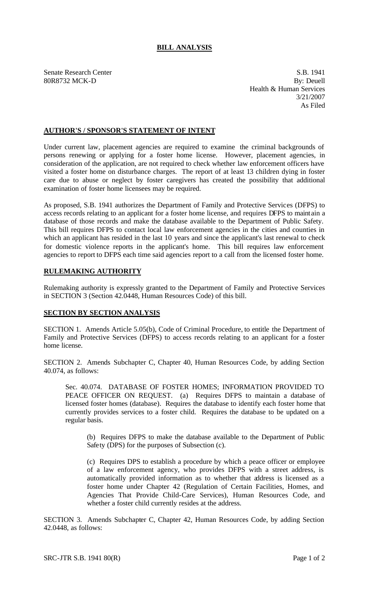## **BILL ANALYSIS**

Senate Research Center S.B. 1941 80R8732 MCK-D By: Deuell Health & Human Services 3/21/2007 As Filed

## **AUTHOR'S / SPONSOR'S STATEMENT OF INTENT**

Under current law, placement agencies are required to examine the criminal backgrounds of persons renewing or applying for a foster home license. However, placement agencies, in consideration of the application, are not required to check whether law enforcement officers have visited a foster home on disturbance charges. The report of at least 13 children dying in foster care due to abuse or neglect by foster caregivers has created the possibility that additional examination of foster home licensees may be required.

As proposed, S.B. 1941 authorizes the Department of Family and Protective Services (DFPS) to access records relating to an applicant for a foster home license, and requires DFPS to maintain a database of those records and make the database available to the Department of Public Safety. This bill requires DFPS to contact local law enforcement agencies in the cities and counties in which an applicant has resided in the last 10 years and since the applicant's last renewal to check for domestic violence reports in the applicant's home. This bill requires law enforcement agencies to report to DFPS each time said agencies report to a call from the licensed foster home.

## **RULEMAKING AUTHORITY**

Rulemaking authority is expressly granted to the Department of Family and Protective Services in SECTION 3 (Section 42.0448, Human Resources Code) of this bill.

## **SECTION BY SECTION ANALYSIS**

SECTION 1. Amends Article 5.05(b), Code of Criminal Procedure, to entitle the Department of Family and Protective Services (DFPS) to access records relating to an applicant for a foster home license.

SECTION 2. Amends Subchapter C, Chapter 40, Human Resources Code, by adding Section 40.074, as follows:

Sec. 40.074. DATABASE OF FOSTER HOMES; INFORMATION PROVIDED TO PEACE OFFICER ON REQUEST. (a) Requires DFPS to maintain a database of licensed foster homes (database). Requires the database to identify each foster home that currently provides services to a foster child. Requires the database to be updated on a regular basis.

(b) Requires DFPS to make the database available to the Department of Public Safety (DPS) for the purposes of Subsection (c).

(c) Requires DPS to establish a procedure by which a peace officer or employee of a law enforcement agency, who provides DFPS with a street address, is automatically provided information as to whether that address is licensed as a foster home under Chapter 42 (Regulation of Certain Facilities, Homes, and Agencies That Provide Child-Care Services), Human Resources Code, and whether a foster child currently resides at the address.

SECTION 3. Amends Subchapter C, Chapter 42, Human Resources Code, by adding Section 42.0448, as follows: